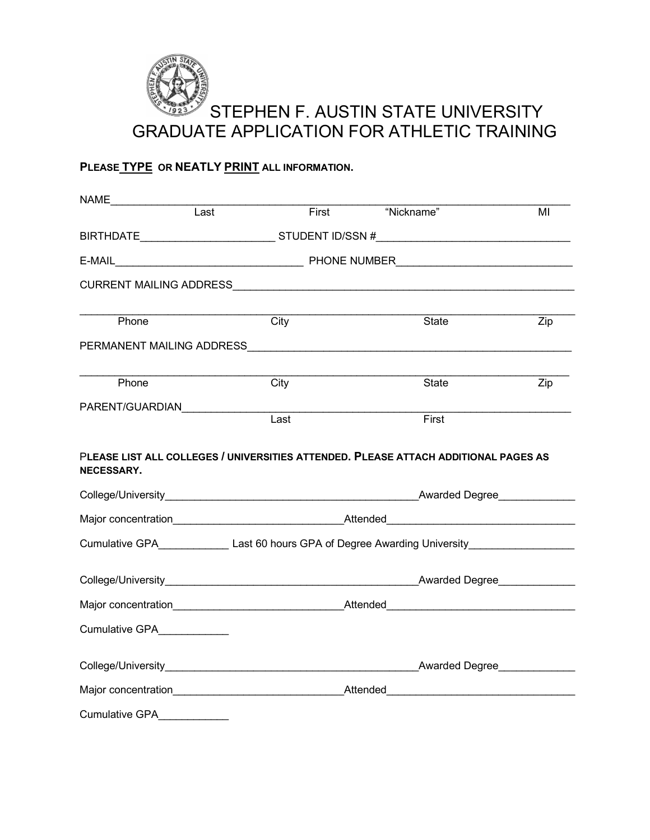

# **PLEASE TYPE OR NEATLY PRINT ALL INFORMATION.**

| NAME_________________<br>$\overline{Last}$                                                    |      | First | "Nickname" |                | MI                |
|-----------------------------------------------------------------------------------------------|------|-------|------------|----------------|-------------------|
|                                                                                               |      |       |            |                |                   |
| BIRTHDATE______________________________STUDENT ID/SSN #_________________________              |      |       |            |                |                   |
|                                                                                               |      |       |            |                |                   |
|                                                                                               |      |       |            |                |                   |
| Phone                                                                                         | City |       |            | State          | $\overline{Z}$ ip |
|                                                                                               |      |       |            |                |                   |
| Phone                                                                                         | City |       |            | State          | Zip               |
| PARENT/GUARDIAN                                                                               | Last |       | First      |                |                   |
|                                                                                               |      |       |            |                |                   |
|                                                                                               |      |       |            |                |                   |
|                                                                                               |      |       |            |                |                   |
| Cumulative GPA______________Last 60 hours GPA of Degree Awarding University__________________ |      |       |            |                |                   |
| College/University entertainment and the Awarded Degree                                       |      |       |            |                |                   |
| Major concentration_____________________________Attended________________________              |      |       |            |                |                   |
| Cumulative GPA____________                                                                    |      |       |            |                |                   |
|                                                                                               |      |       |            | Awarded Degree |                   |
|                                                                                               |      |       |            |                |                   |
| <b>Cumulative GPA</b>                                                                         |      |       |            |                |                   |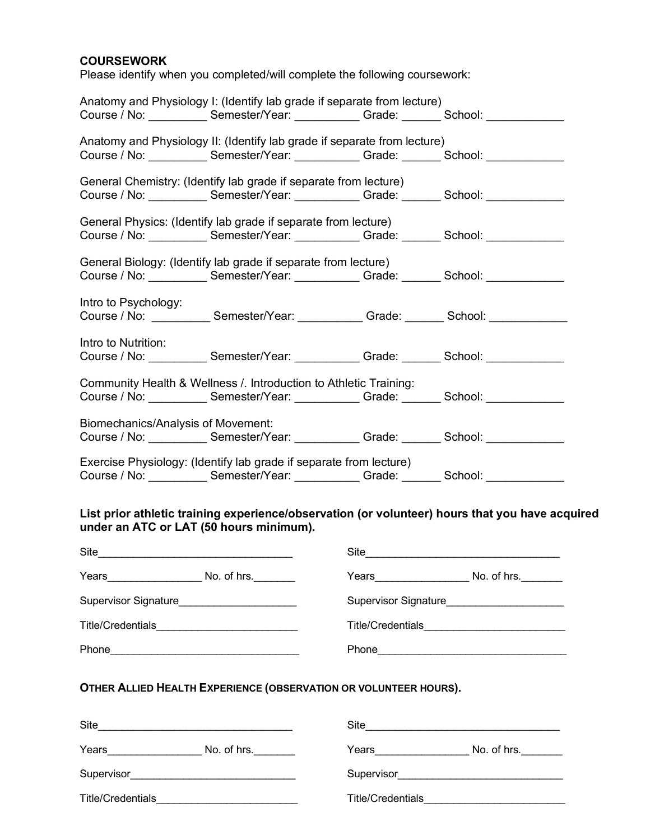### **COURSEWORK**

Please identify when you completed/will complete the following coursework:

| Anatomy and Physiology I: (Identify lab grade if separate from lecture) |                                                                                                     |  |  |  |  |  |
|-------------------------------------------------------------------------|-----------------------------------------------------------------------------------------------------|--|--|--|--|--|
|                                                                         | Course / No: Semester/Year: Cambridge Crade: Course / No: Course / No: Course / No: Course 1999     |  |  |  |  |  |
|                                                                         | Anatomy and Physiology II: (Identify lab grade if separate from lecture)                            |  |  |  |  |  |
|                                                                         | Course / No: Semester/Year: Cambridge: Course / No: Course / No: Course / No: Course 1990.          |  |  |  |  |  |
|                                                                         | General Chemistry: (Identify lab grade if separate from lecture)                                    |  |  |  |  |  |
|                                                                         | Course / No: Semester/Year: Cambridge: Course / No: Course / No: Course / No: Course 1 School:      |  |  |  |  |  |
|                                                                         | General Physics: (Identify lab grade if separate from lecture)                                      |  |  |  |  |  |
|                                                                         | Course / No: Semester/Year: Cambridge: Course / No: Course / No: Course / No: Course 1 School:      |  |  |  |  |  |
|                                                                         | General Biology: (Identify lab grade if separate from lecture)                                      |  |  |  |  |  |
|                                                                         | Course / No: _____________ Semester/Year: _____________ Grade: ________ School: _______________     |  |  |  |  |  |
| Intro to Psychology:                                                    |                                                                                                     |  |  |  |  |  |
|                                                                         | Course / No: ____________Semester/Year: ___________Grade: ________ School: ____________             |  |  |  |  |  |
| Intro to Nutrition:                                                     |                                                                                                     |  |  |  |  |  |
|                                                                         | Course / No: Semester/Year: Cambridge: Course / No: Course / No: Course / No: Course 1 School:      |  |  |  |  |  |
| Community Health & Wellness / Introduction to Athletic Training:        |                                                                                                     |  |  |  |  |  |
|                                                                         | Course / No: Semester/Year: Cambridge: Course / No: Course / No: Course / No: Course / No: Course 1 |  |  |  |  |  |
| Biomechanics/Analysis of Movement:                                      |                                                                                                     |  |  |  |  |  |
|                                                                         | Course / No: Semester/Year: Cambridge: Course / No: Course / No: Course / No: Course 1990.          |  |  |  |  |  |
|                                                                         | Exercise Physiology: (Identify lab grade if separate from lecture)                                  |  |  |  |  |  |
|                                                                         | Course / No: Semester/Year: Grade: Course / No: Course / No:                                        |  |  |  |  |  |

### **List prior athletic training experience/observation (or volunteer) hours that you have acquired under an ATC or LAT (50 hours minimum).**

|                                                                  | Site                                         |
|------------------------------------------------------------------|----------------------------------------------|
|                                                                  |                                              |
| Supervisor Signature_______________________                      | Supervisor Signature________________________ |
| Title/Credentials_______________________________                 |                                              |
|                                                                  |                                              |
| OTHER ALLIED HEALTH EXPERIENCE (OBSERVATION OR VOLUNTEER HOURS). |                                              |
|                                                                  | Site                                         |
|                                                                  |                                              |
|                                                                  |                                              |
| Title/Credentials____________________                            | Title/Credentials_____________               |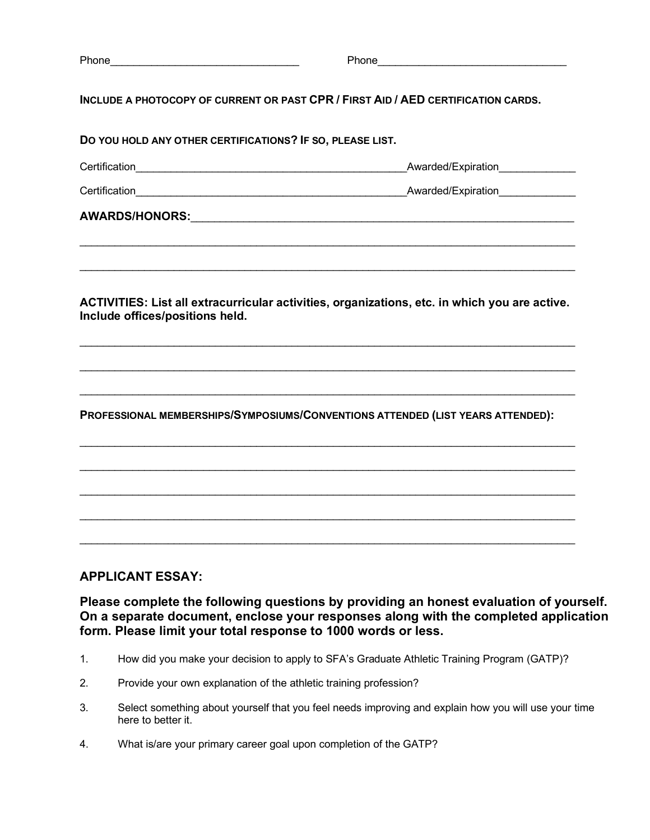Phone\_\_\_\_\_\_\_\_\_\_\_\_\_\_\_\_\_\_\_\_\_\_\_\_\_\_\_\_\_\_\_\_ Phone\_\_\_\_\_\_\_\_\_\_\_\_\_\_\_\_\_\_\_\_\_\_\_\_\_\_\_\_\_\_\_\_

**INCLUDE A PHOTOCOPY OF CURRENT OR PAST CPR / FIRST AID / AED CERTIFICATION CARDS.** 

| DO YOU HOLD ANY OTHER CERTIFICATIONS? IF SO, PLEASE LIST.                                                                        |                    |
|----------------------------------------------------------------------------------------------------------------------------------|--------------------|
|                                                                                                                                  | Awarded/Expiration |
|                                                                                                                                  |                    |
|                                                                                                                                  |                    |
| ACTIVITIES: List all extracurricular activities, organizations, etc. in which you are active.<br>Include offices/positions held. |                    |
| PROFESSIONAL MEMBERSHIPS/SYMPOSIUMS/CONVENTIONS ATTENDED (LIST YEARS ATTENDED):                                                  |                    |
|                                                                                                                                  |                    |

## **APPLICANT ESSAY:**

**Please complete the following questions by providing an honest evaluation of yourself. On a separate document, enclose your responses along with the completed application form. Please limit your total response to 1000 words or less.**

- 1. How did you make your decision to apply to SFA's Graduate Athletic Training Program (GATP)?
- 2. Provide your own explanation of the athletic training profession?
- 3. Select something about yourself that you feel needs improving and explain how you will use your time here to better it.
- 4. What is/are your primary career goal upon completion of the GATP?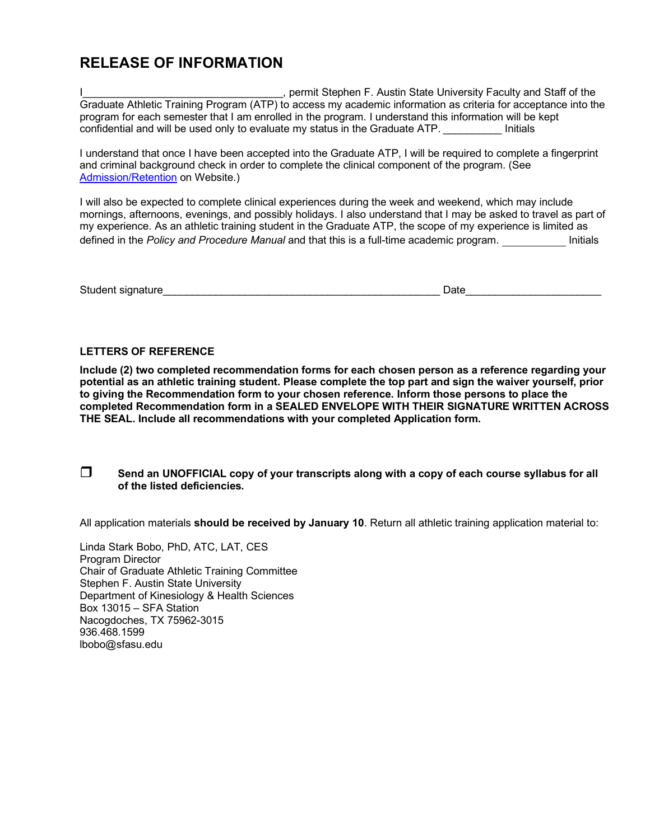# **RELEASE OF INFORMATION**

L. permit Stephen F. Austin State University Faculty and Staff of the Graduate Athletic Training Program (ATP) to access my academic information as criteria for acceptance into the program for each semester that I am enrolled in the program. I understand this information will be kept confidential and will be used only to evaluate my status in the Graduate ATP. **Example 1** Initials

I understand that once I have been accepted into the Graduate ATP, I will be required to complete a fingerprint and criminal background check in order to complete the clinical component of the program. (See Admission/Retention on Website.)

I will also be expected to complete clinical experiences during the week and weekend, which may include mornings, afternoons, evenings, and possibly holidays. I also understand that I may be asked to travel as part of my experience. As an athletic training student in the Graduate ATP, the scope of my experience is limited as defined in the *Policy and Procedure Manual* and that this is a full-time academic program.

Student signature\_\_\_\_\_\_\_\_\_\_\_\_\_\_\_\_\_\_\_\_\_\_\_\_\_\_\_\_\_\_\_\_\_\_\_\_\_\_\_\_\_\_\_\_\_\_\_ Date\_\_\_\_\_\_\_\_\_\_\_\_\_\_\_\_\_\_\_\_\_\_\_

#### **LETTERS OF REFERENCE**

**Include (2) two completed recommendation forms for each chosen person as a reference regarding your potential as an athletic training student. Please complete the top part and sign the waiver yourself, prior to giving the Recommendation form to your chosen reference. Inform those persons to place the completed Recommendation form in a SEALED ENVELOPE WITH THEIR SIGNATURE WRITTEN ACROSS THE SEAL. Include all recommendations with your completed Application form.** 

#### □ Send an UNOFFICIAL copy of your transcripts along with a copy of each course syllabus for all **of the listed deficiencies.**

All application materials **should be received by January 10**. Return all athletic training application material to:

Linda Stark Bobo, PhD, ATC, LAT, CES Program Director Chair of Graduate Athletic Training Committee Stephen F. Austin State University Department of Kinesiology & Health Sciences Box 13015 – SFA Station Nacogdoches, TX 75962-3015 936.468.1599 lbobo@sfasu.edu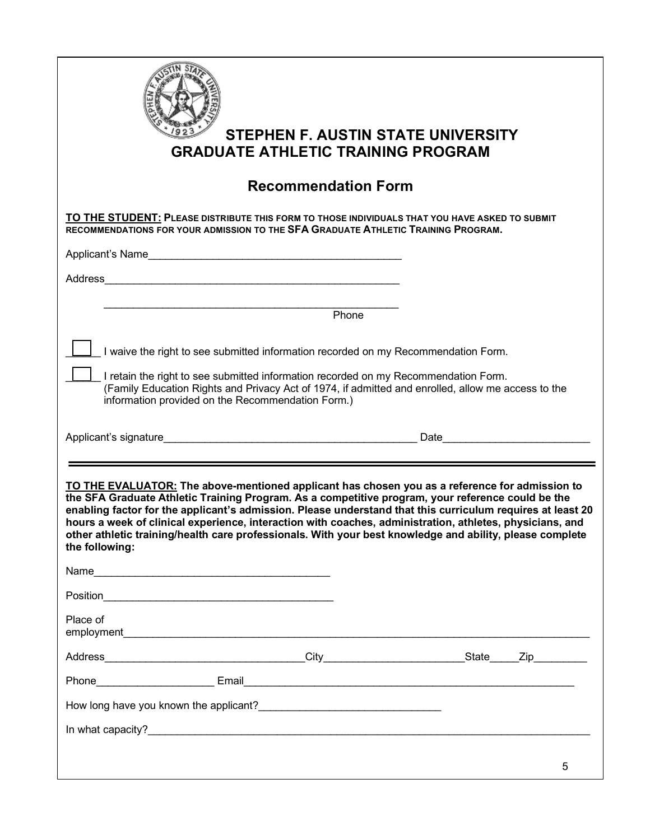| <b>GRADUATE ATHLETIC TRAINING PROGRAM</b>                                                                                                                                                                                                                                                                                                                                                                                                                                                                                                                   | <b>STEPHEN F. AUSTIN STATE UNIVERSITY</b>                                                          |
|-------------------------------------------------------------------------------------------------------------------------------------------------------------------------------------------------------------------------------------------------------------------------------------------------------------------------------------------------------------------------------------------------------------------------------------------------------------------------------------------------------------------------------------------------------------|----------------------------------------------------------------------------------------------------|
| <b>Recommendation Form</b>                                                                                                                                                                                                                                                                                                                                                                                                                                                                                                                                  |                                                                                                    |
| TO THE STUDENT: PLEASE DISTRIBUTE THIS FORM TO THOSE INDIVIDUALS THAT YOU HAVE ASKED TO SUBMIT<br>RECOMMENDATIONS FOR YOUR ADMISSION TO THE SFA GRADUATE ATHLETIC TRAINING PROGRAM.                                                                                                                                                                                                                                                                                                                                                                         |                                                                                                    |
|                                                                                                                                                                                                                                                                                                                                                                                                                                                                                                                                                             |                                                                                                    |
|                                                                                                                                                                                                                                                                                                                                                                                                                                                                                                                                                             |                                                                                                    |
|                                                                                                                                                                                                                                                                                                                                                                                                                                                                                                                                                             | Phone                                                                                              |
| I waive the right to see submitted information recorded on my Recommendation Form.<br>I retain the right to see submitted information recorded on my Recommendation Form.<br>information provided on the Recommendation Form.)                                                                                                                                                                                                                                                                                                                              | (Family Education Rights and Privacy Act of 1974, if admitted and enrolled, allow me access to the |
| Applicant's signature expression of the state of the Date of the Date of the Date of the Date of the Date of the Date of the Date of the Date of the Date of the Date of the Date of the Date of the Date of the Date of the D                                                                                                                                                                                                                                                                                                                              |                                                                                                    |
|                                                                                                                                                                                                                                                                                                                                                                                                                                                                                                                                                             |                                                                                                    |
| TO THE EVALUATOR: The above-mentioned applicant has chosen you as a reference for admission to<br>the SFA Graduate Athletic Training Program. As a competitive program, your reference could be the<br>enabling factor for the applicant's admission. Please understand that this curriculum requires at least 20<br>hours a week of clinical experience, interaction with coaches, administration, athletes, physicians, and<br>other athletic training/health care professionals. With your best knowledge and ability, please complete<br>the following: |                                                                                                    |
|                                                                                                                                                                                                                                                                                                                                                                                                                                                                                                                                                             |                                                                                                    |
|                                                                                                                                                                                                                                                                                                                                                                                                                                                                                                                                                             |                                                                                                    |
| Place of                                                                                                                                                                                                                                                                                                                                                                                                                                                                                                                                                    |                                                                                                    |
|                                                                                                                                                                                                                                                                                                                                                                                                                                                                                                                                                             |                                                                                                    |
|                                                                                                                                                                                                                                                                                                                                                                                                                                                                                                                                                             |                                                                                                    |
|                                                                                                                                                                                                                                                                                                                                                                                                                                                                                                                                                             |                                                                                                    |
|                                                                                                                                                                                                                                                                                                                                                                                                                                                                                                                                                             |                                                                                                    |
|                                                                                                                                                                                                                                                                                                                                                                                                                                                                                                                                                             |                                                                                                    |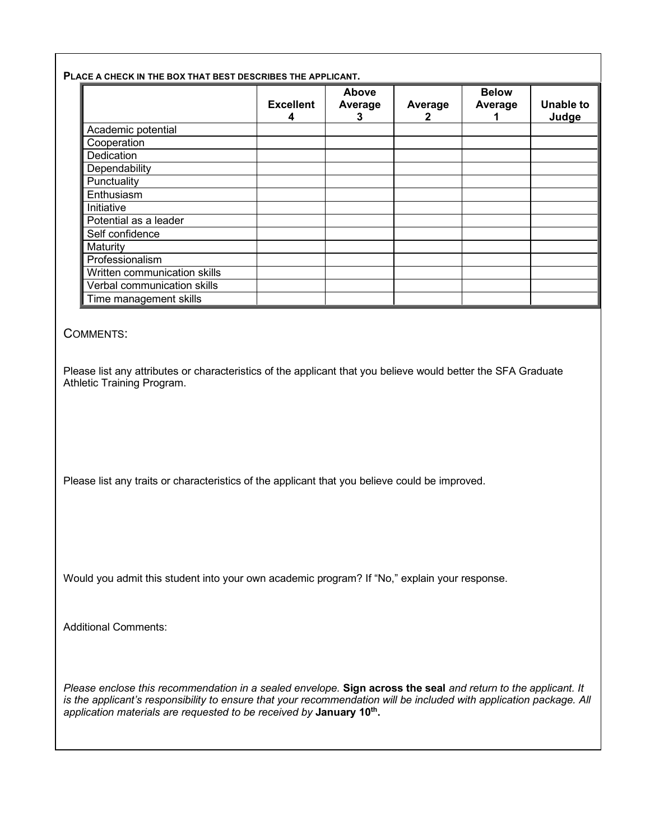#### **PLACE A CHECK IN THE BOX THAT BEST DESCRIBES THE APPLICANT.**

|                              | <b>Excellent</b><br>4 | Above<br>Average<br>3 | Average | <b>Below</b><br>Average | <b>Unable to</b><br>Judge |
|------------------------------|-----------------------|-----------------------|---------|-------------------------|---------------------------|
| Academic potential           |                       |                       |         |                         |                           |
| Cooperation                  |                       |                       |         |                         |                           |
|                              |                       |                       |         |                         |                           |
| Dedication                   |                       |                       |         |                         |                           |
| Dependability                |                       |                       |         |                         |                           |
| Punctuality                  |                       |                       |         |                         |                           |
| Enthusiasm                   |                       |                       |         |                         |                           |
| Initiative                   |                       |                       |         |                         |                           |
| Potential as a leader        |                       |                       |         |                         |                           |
| Self confidence              |                       |                       |         |                         |                           |
| Maturity                     |                       |                       |         |                         |                           |
| Professionalism              |                       |                       |         |                         |                           |
| Written communication skills |                       |                       |         |                         |                           |
| Verbal communication skills  |                       |                       |         |                         |                           |
| Time management skills       |                       |                       |         |                         |                           |

#### COMMENTS:

Please list any attributes or characteristics of the applicant that you believe would better the SFA Graduate Athletic Training Program.

Please list any traits or characteristics of the applicant that you believe could be improved.

Would you admit this student into your own academic program? If "No," explain your response.

Additional Comments:

*Please enclose this recommendation in a sealed envelope.* **Sign across the seal** *and return to the applicant. It is the applicant's responsibility to ensure that your recommendation will be included with application package. All application materials are requested to be received by* **January 10th.**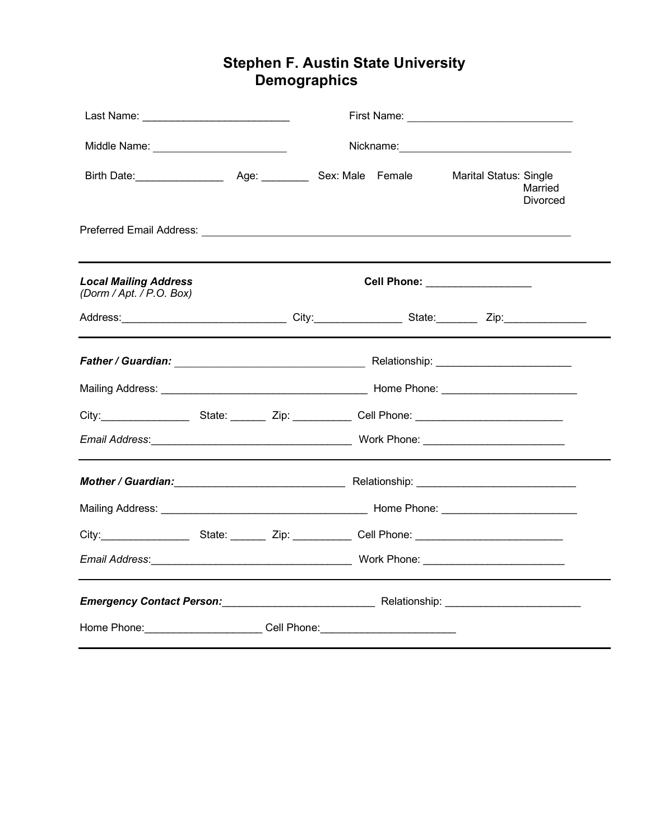# **Stephen F. Austin State University Demographics**

| Last Name: _______________________________                                                                                                                                                                                     |  |  |  |                                 |                            |  |
|--------------------------------------------------------------------------------------------------------------------------------------------------------------------------------------------------------------------------------|--|--|--|---------------------------------|----------------------------|--|
| Middle Name: ____________________________                                                                                                                                                                                      |  |  |  |                                 |                            |  |
|                                                                                                                                                                                                                                |  |  |  | <b>Marital Status: Single</b>   | Married<br><b>Divorced</b> |  |
|                                                                                                                                                                                                                                |  |  |  |                                 |                            |  |
| <b>Local Mailing Address</b><br>(Dorm / Apt. / P.O. Box)                                                                                                                                                                       |  |  |  | Cell Phone: ___________________ |                            |  |
|                                                                                                                                                                                                                                |  |  |  |                                 |                            |  |
|                                                                                                                                                                                                                                |  |  |  |                                 |                            |  |
|                                                                                                                                                                                                                                |  |  |  |                                 |                            |  |
| City:_______________________State: _________Zip: _____________Cell Phone: _______________________________                                                                                                                      |  |  |  |                                 |                            |  |
|                                                                                                                                                                                                                                |  |  |  |                                 |                            |  |
|                                                                                                                                                                                                                                |  |  |  |                                 |                            |  |
|                                                                                                                                                                                                                                |  |  |  |                                 |                            |  |
|                                                                                                                                                                                                                                |  |  |  |                                 |                            |  |
|                                                                                                                                                                                                                                |  |  |  |                                 |                            |  |
| Emergency Contact Person: National Relationship: Nationship: Nationship: National Relationship: National Relationship: National Relationship: National Relationship: National Relationship: National Relationship: National Re |  |  |  |                                 |                            |  |
| Home Phone: Cell Phone: Call Phone:                                                                                                                                                                                            |  |  |  |                                 |                            |  |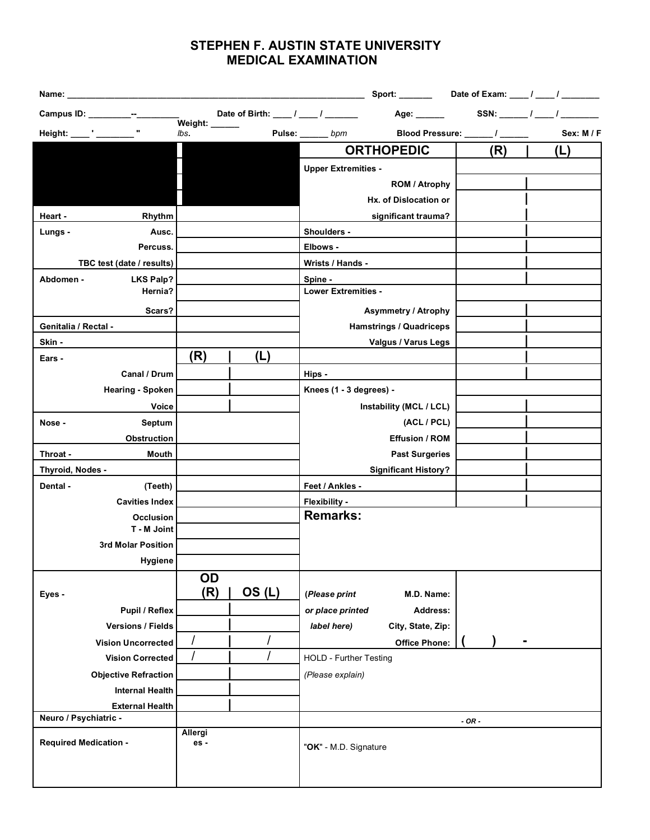## **STEPHEN F. AUSTIN STATE UNIVERSITY MEDICAL EXAMINATION**

| Name: and the state of the state of the state of the state of the state of the state of the state of the state of the state of the state of the state of the state of the state of the state of the state of the state of the |                |                                                            |                            |                                |                              |            |
|-------------------------------------------------------------------------------------------------------------------------------------------------------------------------------------------------------------------------------|----------------|------------------------------------------------------------|----------------------------|--------------------------------|------------------------------|------------|
| Campus ID: __________--_____-                                                                                                                                                                                                 |                | Date of Birth: $\frac{1}{\sqrt{2}}$ / $\frac{1}{\sqrt{2}}$ |                            | Age: ______                    |                              |            |
| Height: _____' _______                                                                                                                                                                                                        | lbs.           |                                                            | Pulse: ______ bpm          |                                | Blood Pressure: _____/ _____ | Sex: M / F |
|                                                                                                                                                                                                                               |                |                                                            |                            | <b>ORTHOPEDIC</b>              | (R)                          | (L)        |
|                                                                                                                                                                                                                               |                |                                                            | <b>Upper Extremities -</b> |                                |                              |            |
|                                                                                                                                                                                                                               |                |                                                            |                            | ROM / Atrophy                  |                              |            |
|                                                                                                                                                                                                                               |                |                                                            |                            | Hx. of Dislocation or          |                              |            |
| Rhythm<br>Heart -                                                                                                                                                                                                             |                |                                                            |                            | significant trauma?            |                              |            |
| Lungs -<br>Ausc.                                                                                                                                                                                                              |                |                                                            | Shoulders -                |                                |                              |            |
| Percuss.                                                                                                                                                                                                                      |                |                                                            | Elbows -                   |                                |                              |            |
| TBC test (date / results)                                                                                                                                                                                                     |                |                                                            | Wrists / Hands -           |                                |                              |            |
| <b>LKS Palp?</b><br>Abdomen -                                                                                                                                                                                                 |                |                                                            | Spine -                    |                                |                              |            |
| Hernia?                                                                                                                                                                                                                       |                |                                                            | <b>Lower Extremities -</b> |                                |                              |            |
| Scars?                                                                                                                                                                                                                        |                |                                                            |                            | <b>Asymmetry / Atrophy</b>     |                              |            |
| Genitalia / Rectal -                                                                                                                                                                                                          |                |                                                            |                            | <b>Hamstrings / Quadriceps</b> |                              |            |
| Skin -                                                                                                                                                                                                                        |                |                                                            |                            | Valgus / Varus Legs            |                              |            |
| Ears -                                                                                                                                                                                                                        | (R)            | (L)                                                        |                            |                                |                              |            |
| Canal / Drum                                                                                                                                                                                                                  |                |                                                            | Hips -                     |                                |                              |            |
| Hearing - Spoken                                                                                                                                                                                                              |                |                                                            | Knees (1 - 3 degrees) -    |                                |                              |            |
| <b>Voice</b>                                                                                                                                                                                                                  |                |                                                            |                            | Instability (MCL / LCL)        |                              |            |
| Septum<br>Nose -                                                                                                                                                                                                              |                |                                                            |                            | (ACL / PCL)                    |                              |            |
| <b>Obstruction</b>                                                                                                                                                                                                            |                |                                                            |                            | <b>Effusion / ROM</b>          |                              |            |
| Throat -<br>Mouth                                                                                                                                                                                                             |                |                                                            |                            | <b>Past Surgeries</b>          |                              |            |
| Thyroid, Nodes -                                                                                                                                                                                                              |                |                                                            |                            | <b>Significant History?</b>    |                              |            |
| Dental -<br>(Teeth)                                                                                                                                                                                                           |                |                                                            | Feet / Ankles -            |                                |                              |            |
| <b>Cavities Index</b>                                                                                                                                                                                                         |                |                                                            | Flexibility -              |                                |                              |            |
| Occlusion                                                                                                                                                                                                                     |                |                                                            | <b>Remarks:</b>            |                                |                              |            |
| T - M Joint                                                                                                                                                                                                                   |                |                                                            |                            |                                |                              |            |
| 3rd Molar Position                                                                                                                                                                                                            |                |                                                            |                            |                                |                              |            |
| <b>Hygiene</b>                                                                                                                                                                                                                |                |                                                            |                            |                                |                              |            |
|                                                                                                                                                                                                                               | OD             |                                                            |                            |                                |                              |            |
| Eyes -                                                                                                                                                                                                                        | (R)            | OS(L)                                                      | (Please print              | M.D. Name:                     |                              |            |
| Pupil / Reflex                                                                                                                                                                                                                |                |                                                            | or place printed           | Address:                       |                              |            |
| <b>Versions / Fields</b>                                                                                                                                                                                                      |                |                                                            | label here)                | City, State, Zip:              |                              |            |
| <b>Vision Uncorrected</b>                                                                                                                                                                                                     |                |                                                            |                            | <b>Office Phone:</b>           |                              |            |
| <b>Vision Corrected</b>                                                                                                                                                                                                       |                |                                                            | HOLD - Further Testing     |                                |                              |            |
| <b>Objective Refraction</b>                                                                                                                                                                                                   |                |                                                            | (Please explain)           |                                |                              |            |
| <b>Internal Health</b>                                                                                                                                                                                                        |                |                                                            |                            |                                |                              |            |
| <b>External Health</b>                                                                                                                                                                                                        |                |                                                            |                            |                                |                              |            |
| Neuro / Psychiatric -                                                                                                                                                                                                         |                |                                                            |                            |                                | $-OR -$                      |            |
| <b>Required Medication -</b>                                                                                                                                                                                                  | Allergi<br>es- |                                                            | "OK" - M.D. Signature      |                                |                              |            |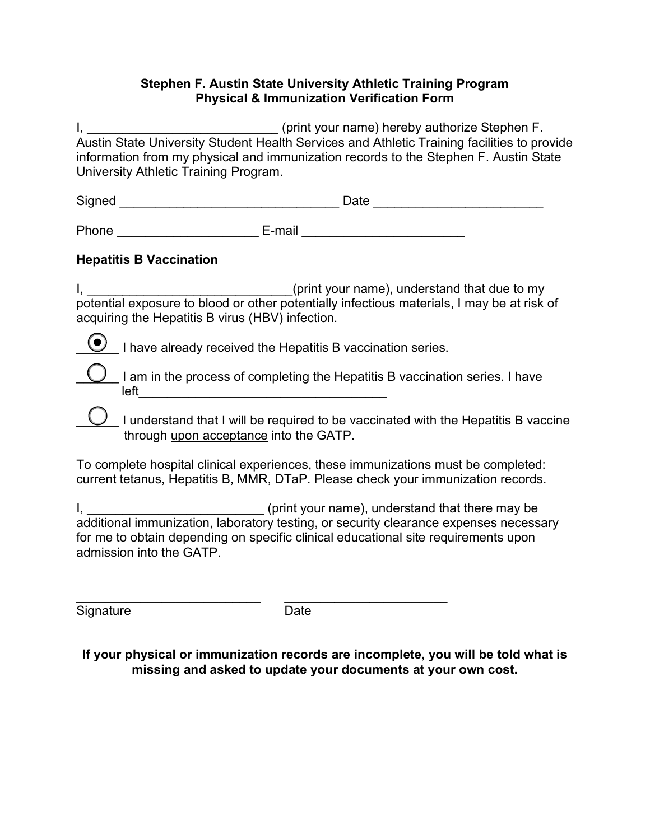### **Stephen F. Austin State University Athletic Training Program Physical & Immunization Verification Form**

I, \_\_\_\_\_\_\_\_\_\_\_\_\_\_\_\_\_\_\_\_\_\_\_\_\_\_\_\_\_\_\_(print your name) hereby authorize Stephen F. Austin State University Student Health Services and Athletic Training facilities to provide information from my physical and immunization records to the Stephen F. Austin State University Athletic Training Program.

| Signed | Date |  |
|--------|------|--|
|        |      |  |

Phone \_\_\_\_\_\_\_\_\_\_\_\_\_\_\_\_\_\_\_\_ E-mail \_\_\_\_\_\_\_\_\_\_\_\_\_\_\_\_\_\_\_\_\_\_\_

## **Hepatitis B Vaccination**

I, \_\_\_\_\_\_\_\_\_\_\_\_\_\_\_\_\_\_\_\_\_\_\_\_\_\_\_\_(print your name), understand that due to my potential exposure to blood or other potentially infectious materials, I may be at risk of acquiring the Hepatitis B virus (HBV) infection.

 $\bigcirc$  I have already received the Hepatitis B vaccination series.

I am in the process of completing the Hepatitis B vaccination series. I have  $left$ 

 $\cup$  I understand that I will be required to be vaccinated with the Hepatitis B vaccine through upon acceptance into the GATP.

To complete hospital clinical experiences, these immunizations must be completed: current tetanus, Hepatitis B, MMR, DTaP. Please check your immunization records.

I, \_\_\_\_\_\_\_\_\_\_\_\_\_\_\_\_\_\_\_\_\_\_\_\_\_\_\_\_\_(print your name), understand that there may be additional immunization, laboratory testing, or security clearance expenses necessary for me to obtain depending on specific clinical educational site requirements upon admission into the GATP.

Signature Date

 $\mathcal{L}_\text{max}$  , and the contract of the contract of the contract of the contract of the contract of the contract of the contract of the contract of the contract of the contract of the contract of the contract of the contr

**If your physical or immunization records are incomplete, you will be told what is missing and asked to update your documents at your own cost.**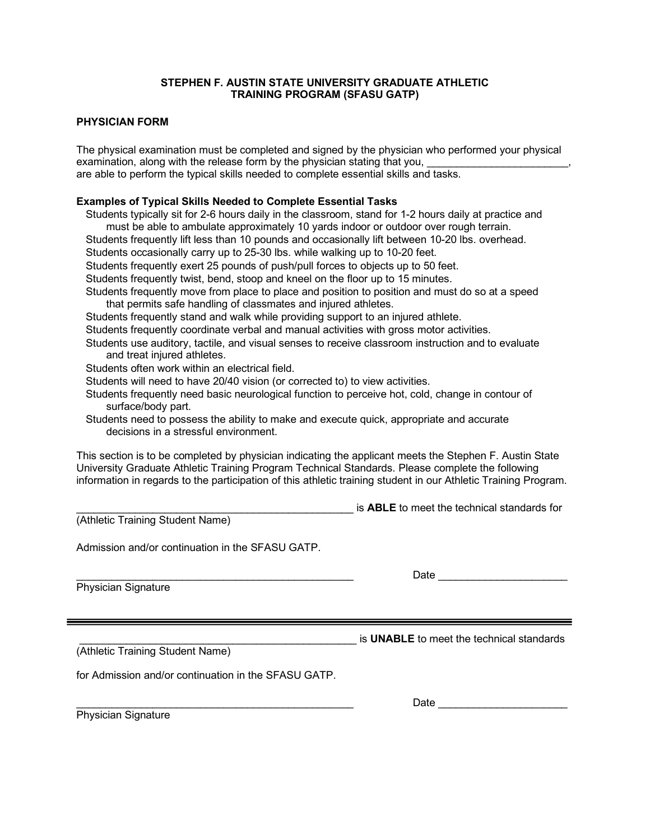#### **STEPHEN F. AUSTIN STATE UNIVERSITY GRADUATE ATHLETIC TRAINING PROGRAM (SFASU GATP)**

#### **PHYSICIAN FORM**

The physical examination must be completed and signed by the physician who performed your physical examination, along with the release form by the physician stating that you, \_\_\_\_\_\_\_\_\_\_\_\_\_\_\_\_\_\_\_\_\_\_\_, are able to perform the typical skills needed to complete essential skills and tasks.

#### **Examples of Typical Skills Needed to Complete Essential Tasks**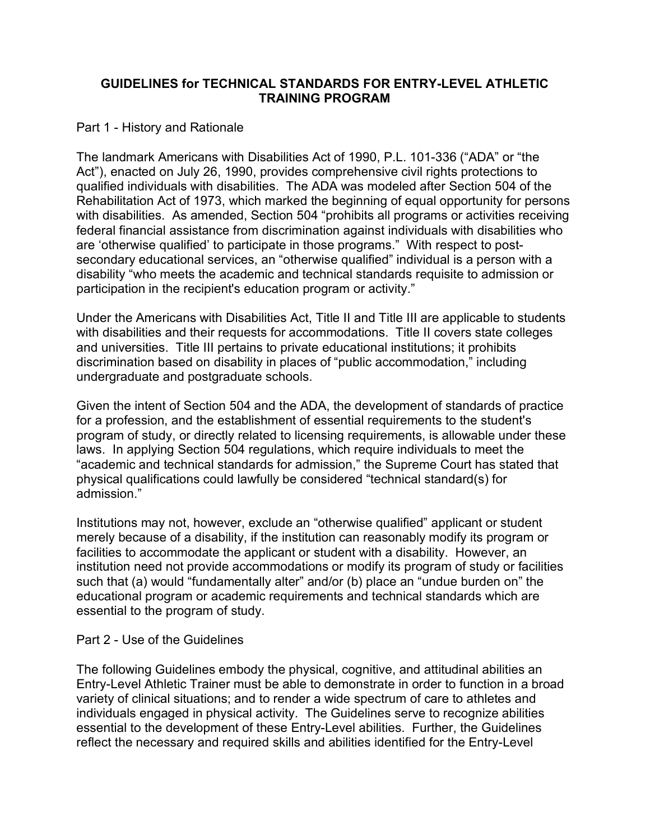## **GUIDELINES for TECHNICAL STANDARDS FOR ENTRY-LEVEL ATHLETIC TRAINING PROGRAM**

## Part 1 - History and Rationale

The landmark Americans with Disabilities Act of 1990, P.L. 101-336 ("ADA" or "the Act"), enacted on July 26, 1990, provides comprehensive civil rights protections to qualified individuals with disabilities. The ADA was modeled after Section 504 of the Rehabilitation Act of 1973, which marked the beginning of equal opportunity for persons with disabilities. As amended, Section 504 "prohibits all programs or activities receiving federal financial assistance from discrimination against individuals with disabilities who are 'otherwise qualified' to participate in those programs." With respect to postsecondary educational services, an "otherwise qualified" individual is a person with a disability "who meets the academic and technical standards requisite to admission or participation in the recipient's education program or activity."

Under the Americans with Disabilities Act, Title II and Title III are applicable to students with disabilities and their requests for accommodations. Title II covers state colleges and universities. Title III pertains to private educational institutions; it prohibits discrimination based on disability in places of "public accommodation," including undergraduate and postgraduate schools.

Given the intent of Section 504 and the ADA, the development of standards of practice for a profession, and the establishment of essential requirements to the student's program of study, or directly related to licensing requirements, is allowable under these laws. In applying Section 504 regulations, which require individuals to meet the "academic and technical standards for admission," the Supreme Court has stated that physical qualifications could lawfully be considered "technical standard(s) for admission."

Institutions may not, however, exclude an "otherwise qualified" applicant or student merely because of a disability, if the institution can reasonably modify its program or facilities to accommodate the applicant or student with a disability. However, an institution need not provide accommodations or modify its program of study or facilities such that (a) would "fundamentally alter" and/or (b) place an "undue burden on" the educational program or academic requirements and technical standards which are essential to the program of study.

## Part 2 - Use of the Guidelines

The following Guidelines embody the physical, cognitive, and attitudinal abilities an Entry-Level Athletic Trainer must be able to demonstrate in order to function in a broad variety of clinical situations; and to render a wide spectrum of care to athletes and individuals engaged in physical activity. The Guidelines serve to recognize abilities essential to the development of these Entry-Level abilities. Further, the Guidelines reflect the necessary and required skills and abilities identified for the Entry-Level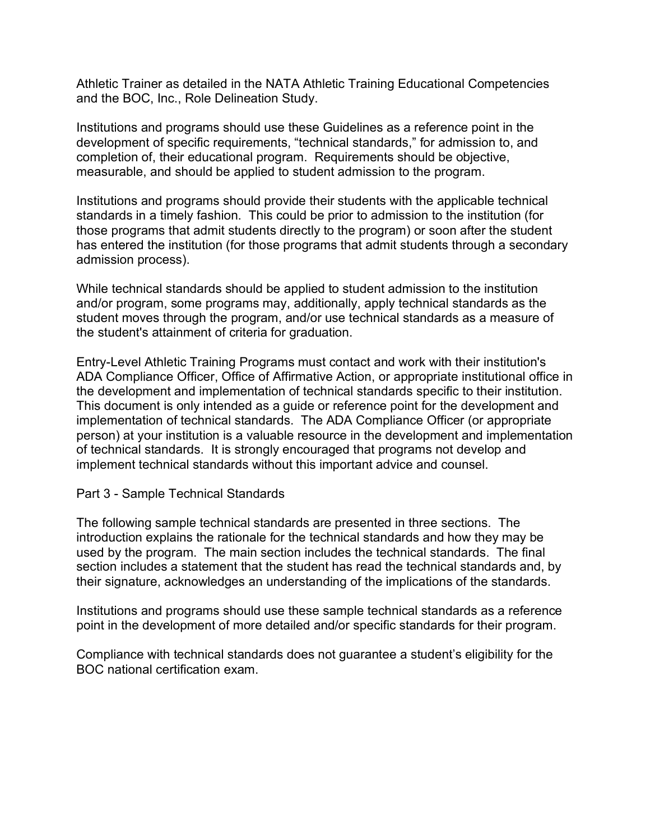Athletic Trainer as detailed in the NATA Athletic Training Educational Competencies and the BOC, Inc., Role Delineation Study.

Institutions and programs should use these Guidelines as a reference point in the development of specific requirements, "technical standards," for admission to, and completion of, their educational program. Requirements should be objective, measurable, and should be applied to student admission to the program.

Institutions and programs should provide their students with the applicable technical standards in a timely fashion. This could be prior to admission to the institution (for those programs that admit students directly to the program) or soon after the student has entered the institution (for those programs that admit students through a secondary admission process).

While technical standards should be applied to student admission to the institution and/or program, some programs may, additionally, apply technical standards as the student moves through the program, and/or use technical standards as a measure of the student's attainment of criteria for graduation.

Entry-Level Athletic Training Programs must contact and work with their institution's ADA Compliance Officer, Office of Affirmative Action, or appropriate institutional office in the development and implementation of technical standards specific to their institution. This document is only intended as a guide or reference point for the development and implementation of technical standards. The ADA Compliance Officer (or appropriate person) at your institution is a valuable resource in the development and implementation of technical standards. It is strongly encouraged that programs not develop and implement technical standards without this important advice and counsel.

Part 3 - Sample Technical Standards

The following sample technical standards are presented in three sections. The introduction explains the rationale for the technical standards and how they may be used by the program. The main section includes the technical standards. The final section includes a statement that the student has read the technical standards and, by their signature, acknowledges an understanding of the implications of the standards.

Institutions and programs should use these sample technical standards as a reference point in the development of more detailed and/or specific standards for their program.

Compliance with technical standards does not guarantee a student's eligibility for the BOC national certification exam.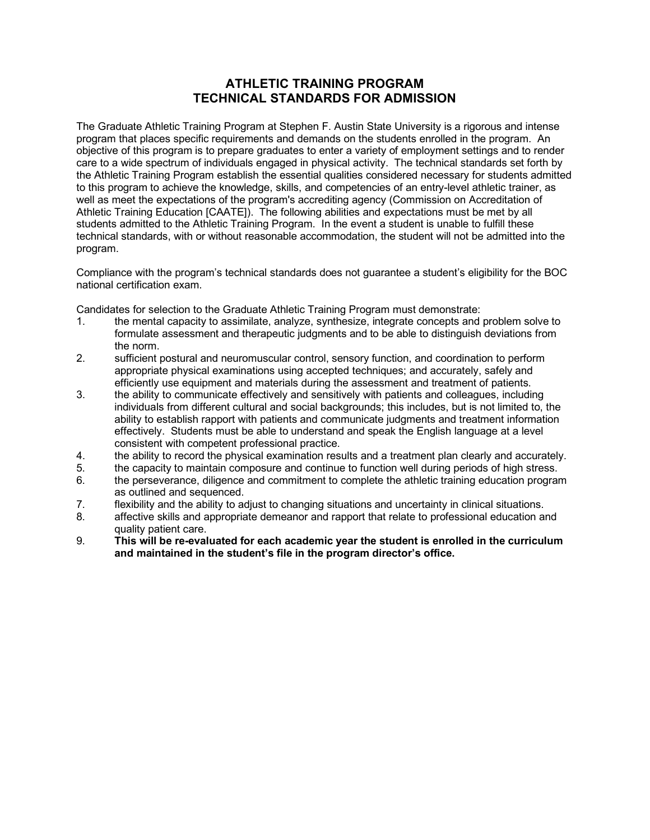### **ATHLETIC TRAINING PROGRAM TECHNICAL STANDARDS FOR ADMISSION**

The Graduate Athletic Training Program at Stephen F. Austin State University is a rigorous and intense program that places specific requirements and demands on the students enrolled in the program. An objective of this program is to prepare graduates to enter a variety of employment settings and to render care to a wide spectrum of individuals engaged in physical activity. The technical standards set forth by the Athletic Training Program establish the essential qualities considered necessary for students admitted to this program to achieve the knowledge, skills, and competencies of an entry-level athletic trainer, as well as meet the expectations of the program's accrediting agency (Commission on Accreditation of Athletic Training Education [CAATE]). The following abilities and expectations must be met by all students admitted to the Athletic Training Program. In the event a student is unable to fulfill these technical standards, with or without reasonable accommodation, the student will not be admitted into the program.

Compliance with the program's technical standards does not guarantee a student's eligibility for the BOC national certification exam.

Candidates for selection to the Graduate Athletic Training Program must demonstrate:

- 1. the mental capacity to assimilate, analyze, synthesize, integrate concepts and problem solve to formulate assessment and therapeutic judgments and to be able to distinguish deviations from the norm.
- 2. sufficient postural and neuromuscular control, sensory function, and coordination to perform appropriate physical examinations using accepted techniques; and accurately, safely and efficiently use equipment and materials during the assessment and treatment of patients.
- 3. the ability to communicate effectively and sensitively with patients and colleagues, including individuals from different cultural and social backgrounds; this includes, but is not limited to, the ability to establish rapport with patients and communicate judgments and treatment information effectively. Students must be able to understand and speak the English language at a level consistent with competent professional practice.
- 4. the ability to record the physical examination results and a treatment plan clearly and accurately.
- 5. the capacity to maintain composure and continue to function well during periods of high stress.
- 6. the perseverance, diligence and commitment to complete the athletic training education program as outlined and sequenced.
- 7. flexibility and the ability to adjust to changing situations and uncertainty in clinical situations.
- 8. affective skills and appropriate demeanor and rapport that relate to professional education and quality patient care.
- 9. **This will be re-evaluated for each academic year the student is enrolled in the curriculum and maintained in the student's file in the program director's office.**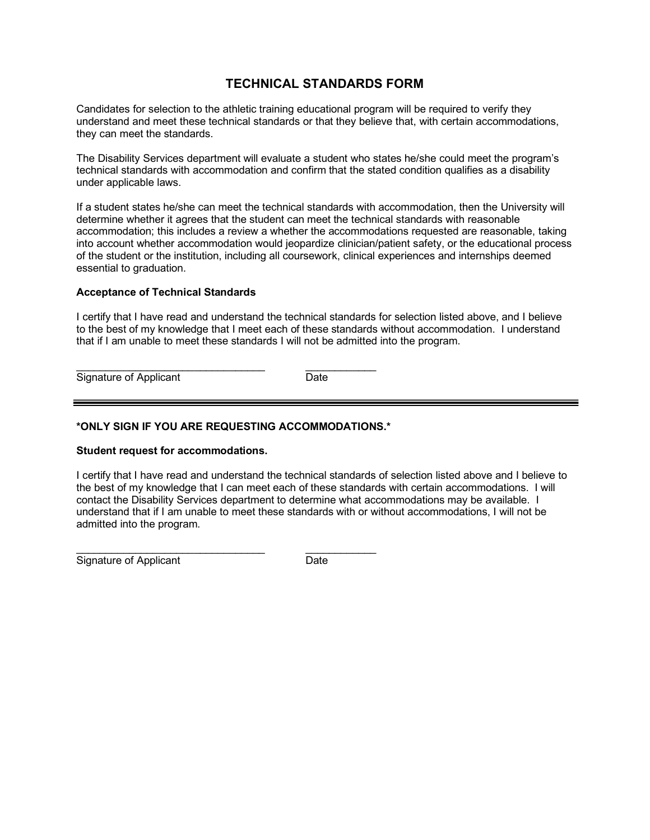## **TECHNICAL STANDARDS FORM**

Candidates for selection to the athletic training educational program will be required to verify they understand and meet these technical standards or that they believe that, with certain accommodations, they can meet the standards.

The Disability Services department will evaluate a student who states he/she could meet the program's technical standards with accommodation and confirm that the stated condition qualifies as a disability under applicable laws.

If a student states he/she can meet the technical standards with accommodation, then the University will determine whether it agrees that the student can meet the technical standards with reasonable accommodation; this includes a review a whether the accommodations requested are reasonable, taking into account whether accommodation would jeopardize clinician/patient safety, or the educational process of the student or the institution, including all coursework, clinical experiences and internships deemed essential to graduation.

#### **Acceptance of Technical Standards**

I certify that I have read and understand the technical standards for selection listed above, and I believe to the best of my knowledge that I meet each of these standards without accommodation. I understand that if I am unable to meet these standards I will not be admitted into the program.

Signature of Applicant Date

\_\_\_\_\_\_\_\_\_\_\_\_\_\_\_\_\_\_\_\_\_\_\_\_\_\_\_\_\_\_\_\_ \_\_\_\_\_\_\_\_\_\_\_\_

#### **\*ONLY SIGN IF YOU ARE REQUESTING ACCOMMODATIONS.\***

#### **Student request for accommodations.**

I certify that I have read and understand the technical standards of selection listed above and I believe to the best of my knowledge that I can meet each of these standards with certain accommodations. I will contact the Disability Services department to determine what accommodations may be available. I understand that if I am unable to meet these standards with or without accommodations, I will not be admitted into the program.

Signature of Applicant **Date** Date

\_\_\_\_\_\_\_\_\_\_\_\_\_\_\_\_\_\_\_\_\_\_\_\_\_\_\_\_\_\_\_\_ \_\_\_\_\_\_\_\_\_\_\_\_